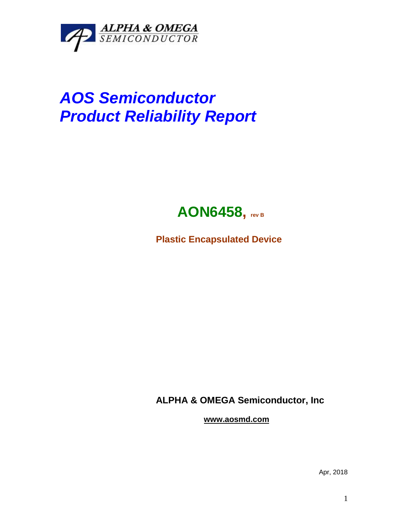

## *AOS Semiconductor Product Reliability Report*



**Plastic Encapsulated Device**

**ALPHA & OMEGA Semiconductor, Inc**

**www.aosmd.com**

Apr, 2018